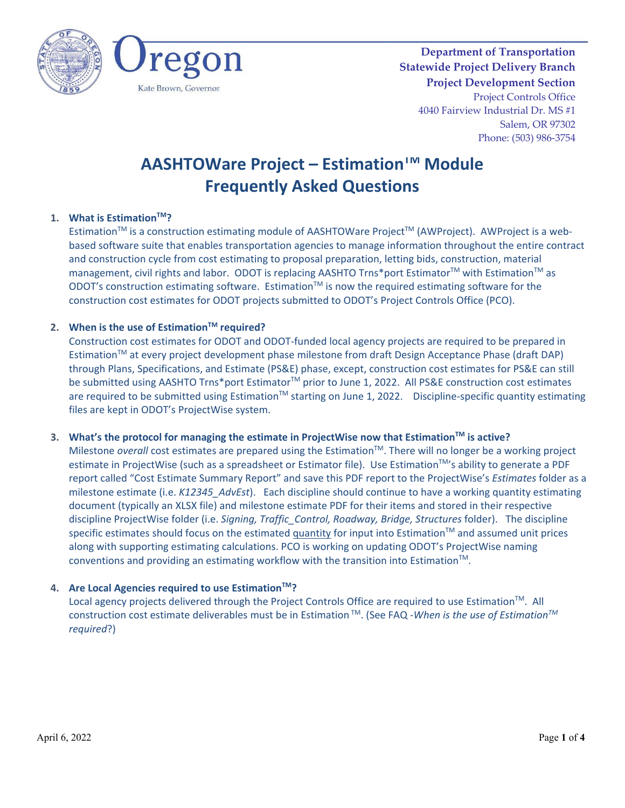



**Department of Transportation Statewide Project Delivery Branch Project Development Section** Project Controls Office 4040 Fairview Industrial Dr. MS #1 Salem, OR 97302 Phone: (503) 986-3754

# **AASHTOWare Project – Estimation<sup>™</sup> Module Frequently Asked Questions**

# **1. What is Estimation™?**

Estimation<sup>™</sup> is a construction estimating module of AASHTOWare Project<sup>™</sup> (AWProject). AWProject is a webbased software suite that enables transportation agencies to manage information throughout the entire contract and construction cycle from cost estimating to proposal preparation, letting bids, construction, material management, civil rights and labor. ODOT is replacing AASHTO Trns\*port Estimator<sup>™</sup> with Estimation<sup>™</sup> as ODOT's construction estimating software. Estimation<sup>™</sup> is now the required estimating software for the construction cost estimates for ODOT projects submitted to ODOT's Project Controls Office (PCO).

#### **2. When is the use of Estimation™ required?**

Construction cost estimates for ODOT and ODOT-funded local agency projects are required to be prepared in Estimation™ at every project development phase milestone from draft Design Acceptance Phase (draft DAP) through Plans, Specifications, and Estimate (PS&E) phase, except, construction cost estimates for PS&E can still be submitted using AASHTO Trns\*port Estimator<sup>™</sup> prior to June 1, 2022. All PS&E construction cost estimates are required to be submitted using Estimation<sup>™</sup> starting on June 1, 2022. Discipline-specific quantity estimating files are kept in ODOT's ProjectWise system.

#### **3. What's the protocol for managing the estimate in ProjectWise now that EstimationTM is active?**

Milestone *overall* cost estimates are prepared using the Estimation<sup>™</sup>. There will no longer be a working project estimate in ProjectWise (such as a spreadsheet or Estimator file). Use Estimation™'s ability to generate a PDF report called "Cost Estimate Summary Report" and save this PDF report to the ProjectWise's *Estimates* folder as a milestone estimate (i.e. *K12345\_AdvEst*). Each discipline should continue to have a working quantity estimating document (typically an XLSX file) and milestone estimate PDF for their items and stored in their respective discipline ProjectWise folder (i.e. *Signing, Traffic\_Control, Roadway, Bridge, Structures* folder). The discipline specific estimates should focus on the estimated quantity for input into Estimation™ and assumed unit prices along with supporting estimating calculations. PCO is working on updating ODOT's ProjectWise naming conventions and providing an estimating workflow with the transition into Estimation $^{TM}$ .

#### **4. Are Local Agencies required to use EstimationTM?**

Local agency projects delivered through the Project Controls Office are required to use Estimation™. All construction cost estimate deliverables must be in Estimation TM. (See FAQ -*When is the use of EstimationTM required*?)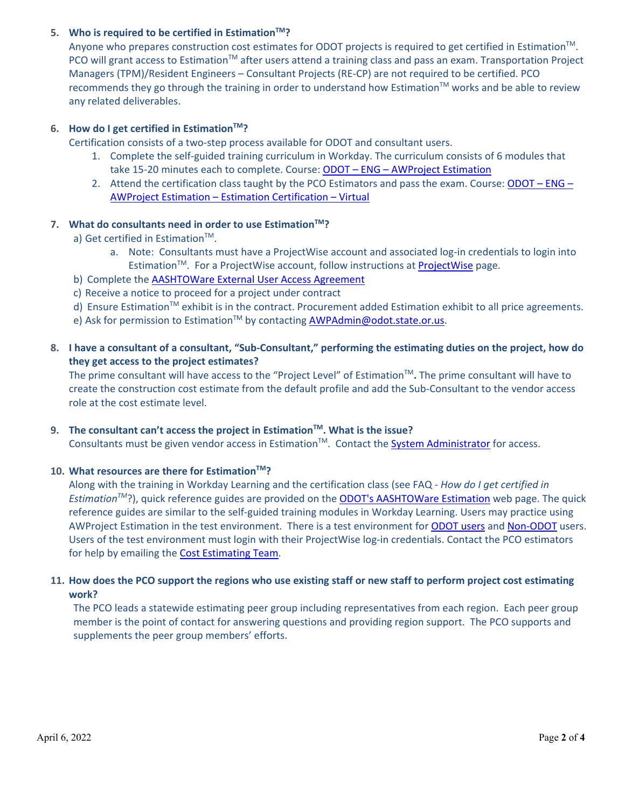# **5. Who is required to be certified in Estimation<sup>™?</sup>**

Anyone who prepares construction cost estimates for ODOT projects is required to get certified in Estimation $TM$ . PCO will grant access to Estimation™ after users attend a training class and pass an exam. Transportation Project Managers (TPM)/Resident Engineers – Consultant Projects (RE-CP) are not required to be certified. PCO recommends they go through the training in order to understand how Estimation<sup>TM</sup> works and be able to review any related deliverables.

# **6. How do I get certified in EstimationTM?**

Certification consists of a two-step process available for ODOT and consultant users.

- 1. Complete the self-guided training curriculum in Workday. The curriculum consists of 6 modules that take 15-20 minutes each to complete. Course: ODOT - ENG - AWProject Estimation
- 2. Attend the certification class taught by the PCO Estimators and pass the exam. Course: ODOT ENG [AWProject Estimation – Estimation Certification – Virtual](https://wd5.myworkday.com/oregon/learning/course/1451fb821ebb01c6f4c50f06be00202f?type=9882927d138b100019b6a2df1a46018b)

#### **7.** What do consultants need in order to use Estimation™?

- a) Get certified in Estimation<sup>™</sup>.
	- a. Note: Consultants must have a ProjectWise account and associated log-in credentials to login into Estimation<sup>TM</sup>. For a [ProjectWise](https://www.oregon.gov/odot/Business/Pages/ProjectWise.aspx) account, follow instructions at ProjectWise page.
- b) Complete the **AASHTOWare External User Access Agreement**
- c) Receive a notice to proceed for a project under contract
- d) Ensure Estimation™ exhibit is in the contract. Procurement added Estimation exhibit to all price agreements.
- e) Ask for permission to Estimation™ by contacting [AWPAdmin@odot.state.or.us.](mailto:AWPAdmin@odot.state.or.us)
- **8. I have a consultant of a consultant, "Sub-Consultant," performing the estimating duties on the project, how do they get access to the project estimates?**

The prime consultant will have access to the "Project Level" of EstimationTM**.** The prime consultant will have to create the construction cost estimate from the default profile and add the Sub-Consultant to the vendor access role at the cost estimate level.

#### 9. The consultant can't access the project in Estimation<sup>™</sup>. What is the issue?

Consultants must be given vendor access in Estimation™. Contact the [System Administrator](mailto:AWPAdmin@odot.state.or.us) for access.

#### **10. What resources are there for Estimation<sup>™?</sup>**

Along with the training in Workday Learning and the certification class (see FAQ - *How do I get certified in EstimationTM*?), quick reference guides are provided on the [ODOT's AASHTOWare Estimation](https://www.oregon.gov/odot/Business/Pages/AW-Estimation.aspx) web page. The quick reference guides are similar to the self-guided training modules in Workday Learning. Users may practice using AWProject Estimation in the test environment. There is a test environment fo[r ODOT users](https://wtdotwebl30.odot.state.or.us:9000/) and [Non-ODOT](https://ordotawptest.odot.state.or.us:9000/) users. Users of the test environment must login with their ProjectWise log-in credentials. Contact the PCO estimators for help by emailing the [Cost Estimating Team.](mailto:ODOTCostEstimating@odot.state.or.us)

# **11. How does the PCO support the regions who use existing staff or new staff to perform project cost estimating work?**

The PCO leads a statewide estimating peer group including representatives from each region. Each peer group member is the point of contact for answering questions and providing region support. The PCO supports and supplements the peer group members' efforts.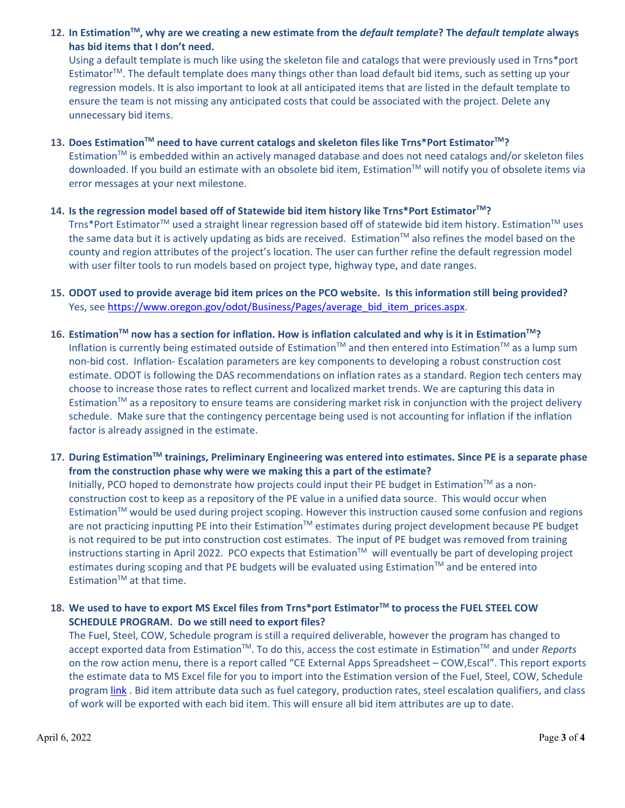# **12. In EstimationTM, why are we creating a new estimate from the** *default template***? The** *default template* **always has bid items that I don't need.**

Using a default template is much like using the skeleton file and catalogs that were previously used in Trns\*port EstimatorTM. The default template does many things other than load default bid items, such as setting up your regression models. It is also important to look at all anticipated items that are listed in the default template to ensure the team is not missing any anticipated costs that could be associated with the project. Delete any unnecessary bid items.

# **13. Does EstimationTM need to have current catalogs and skeleton files like Trns\*Port EstimatorTM?**

Estimation<sup>TM</sup> is embedded within an actively managed database and does not need catalogs and/or skeleton files downloaded. If you build an estimate with an obsolete bid item, Estimation™ will notify you of obsolete items via error messages at your next milestone.

# **14. Is the regression model based off of Statewide bid item history like Trns\*Port EstimatorTM?**

Trns\*Port Estimator™ used a straight linear regression based off of statewide bid item history. Estimation™ uses the same data but it is actively updating as bids are received. Estimation™ also refines the model based on the county and region attributes of the project's location. The user can further refine the default regression model with user filter tools to run models based on project type, highway type, and date ranges.

# **15. ODOT used to provide average bid item prices on the PCO website. Is this information still being provided?**  Yes, se[e https://www.oregon.gov/odot/Business/Pages/average\\_bid\\_item\\_prices.aspx.](https://www.oregon.gov/odot/Business/Pages/average_bid_item_prices.aspx)

**16. EstimationTM now has a section for inflation. How is inflation calculated and why is it in EstimationTM?**  Inflation is currently being estimated outside of Estimation™ and then entered into Estimation™ as a lump sum non-bid cost. Inflation- Escalation parameters are key components to developing a robust construction cost estimate. ODOT is following the DAS recommendations on inflation rates as a standard. Region tech centers may choose to increase those rates to reflect current and localized market trends. We are capturing this data in Estimation $TM$  as a repository to ensure teams are considering market risk in conjunction with the project delivery schedule. Make sure that the contingency percentage being used is not accounting for inflation if the inflation factor is already assigned in the estimate.

# **17. During EstimationTM trainings, Preliminary Engineering was entered into estimates. Since PE is a separate phase from the construction phase why were we making this a part of the estimate?**

Initially, PCO hoped to demonstrate how projects could input their PE budget in Estimation<sup>™</sup> as a nonconstruction cost to keep as a repository of the PE value in a unified data source. This would occur when Estimation™ would be used during project scoping. However this instruction caused some confusion and regions are not practicing inputting PE into their Estimation™ estimates during project development because PE budget is not required to be put into construction cost estimates. The input of PE budget was removed from training instructions starting in April 2022. PCO expects that Estimation™ will eventually be part of developing project estimates during scoping and that PE budgets will be evaluated using Estimation™ and be entered into Estimation $TM$  at that time.

# **18. We used to have to export MS Excel files from Trns\*port EstimatorTM to process the FUEL STEEL COW SCHEDULE PROGRAM. Do we still need to export files?**

The Fuel, Steel, COW, Schedule program is still a required deliverable, however the program has changed to accept exported data from EstimationTM. To do this, access the cost estimate in EstimationTM and under *Reports* on the row action menu, there is a report called "CE External Apps Spreadsheet – COW,Escal". This report exports the estimate data to MS Excel file for you to import into the Estimation version of the Fuel, Steel, COW, Schedule program [link](https://www.oregon.gov/odot/Business/Estimating/FSCOW.zip) . Bid item attribute data such as fuel category, production rates, steel escalation qualifiers, and class of work will be exported with each bid item. This will ensure all bid item attributes are up to date.